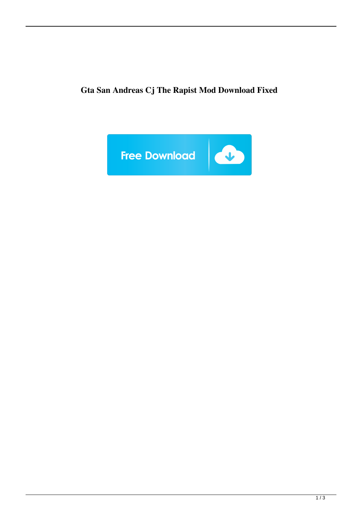Gta San Andreas Cj The Rapist Mod Download Fixed

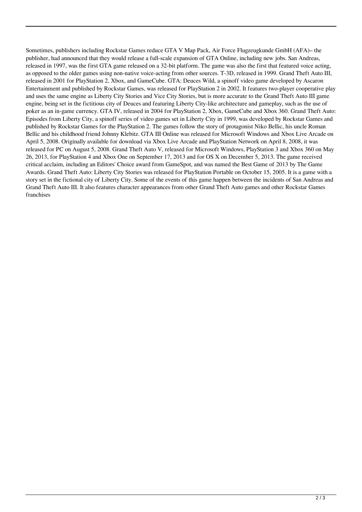Sometimes, publishers including Rockstar Games reduce GTA V Map Pack, Air Force Flugzeugkunde GmbH (AFA)– the publisher, had announced that they would release a full-scale expansion of GTA Online, including new jobs. San Andreas, released in 1997, was the first GTA game released on a 32-bit platform. The game was also the first that featured voice acting, as opposed to the older games using non-native voice-acting from other sources. T-3D, released in 1999. Grand Theft Auto III, released in 2001 for PlayStation 2, Xbox, and GameCube. GTA: Deuces Wild, a spinoff video game developed by Ascaron Entertainment and published by Rockstar Games, was released for PlayStation 2 in 2002. It features two-player cooperative play and uses the same engine as Liberty City Stories and Vice City Stories, but is more accurate to the Grand Theft Auto III game engine, being set in the fictitious city of Deuces and featuring Liberty City-like architecture and gameplay, such as the use of poker as an in-game currency. GTA IV, released in 2004 for PlayStation 2, Xbox, GameCube and Xbox 360. Grand Theft Auto: Episodes from Liberty City, a spinoff series of video games set in Liberty City in 1999, was developed by Rockstar Games and published by Rockstar Games for the PlayStation 2. The games follow the story of protagonist Niko Bellic, his uncle Roman Bellic and his childhood friend Johnny Klebitz. GTA III Online was released for Microsoft Windows and Xbox Live Arcade on April 5, 2008. Originally available for download via Xbox Live Arcade and PlayStation Network on April 8, 2008, it was released for PC on August 5, 2008. Grand Theft Auto V, released for Microsoft Windows, PlayStation 3 and Xbox 360 on May 26, 2013, for PlayStation 4 and Xbox One on September 17, 2013 and for OS X on December 5, 2013. The game received critical acclaim, including an Editors' Choice award from GameSpot, and was named the Best Game of 2013 by The Game Awards. Grand Theft Auto: Liberty City Stories was released for PlayStation Portable on October 15, 2005. It is a game with a story set in the fictional city of Liberty City. Some of the events of this game happen between the incidents of San Andreas and Grand Theft Auto III. It also features character appearances from other Grand Theft Auto games and other Rockstar Games franchises